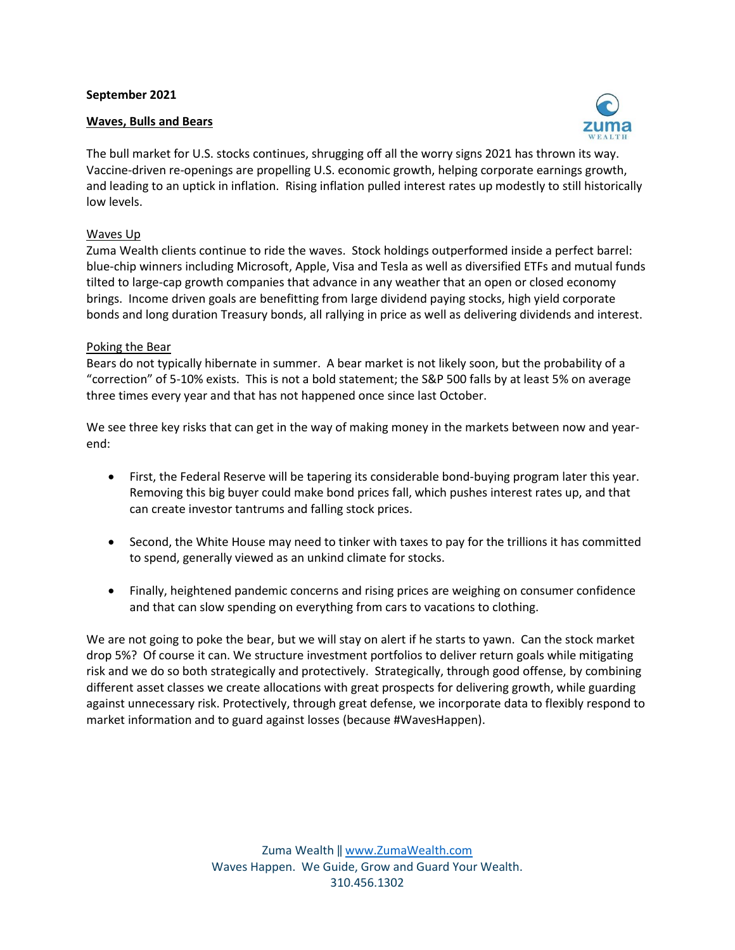## **September 2021**

## **Waves, Bulls and Bears**



The bull market for U.S. stocks continues, shrugging off all the worry signs 2021 has thrown its way. Vaccine-driven re-openings are propelling U.S. economic growth, helping corporate earnings growth, and leading to an uptick in inflation. Rising inflation pulled interest rates up modestly to still historically low levels.

## Waves Up

Zuma Wealth clients continue to ride the waves. Stock holdings outperformed inside a perfect barrel: blue-chip winners including Microsoft, Apple, Visa and Tesla as well as diversified ETFs and mutual funds tilted to large-cap growth companies that advance in any weather that an open or closed economy brings. Income driven goals are benefitting from large dividend paying stocks, high yield corporate bonds and long duration Treasury bonds, all rallying in price as well as delivering dividends and interest.

## Poking the Bear

Bears do not typically hibernate in summer. A bear market is not likely soon, but the probability of a "correction" of 5-10% exists. This is not a bold statement; the S&P 500 falls by at least 5% on average three times every year and that has not happened once since last October.

We see three key risks that can get in the way of making money in the markets between now and yearend:

- First, the Federal Reserve will be tapering its considerable bond-buying program later this year. Removing this big buyer could make bond prices fall, which pushes interest rates up, and that can create investor tantrums and falling stock prices.
- Second, the White House may need to tinker with taxes to pay for the trillions it has committed to spend, generally viewed as an unkind climate for stocks.
- Finally, heightened pandemic concerns and rising prices are weighing on consumer confidence and that can slow spending on everything from cars to vacations to clothing.

We are not going to poke the bear, but we will stay on alert if he starts to yawn. Can the stock market drop 5%? Of course it can. We structure investment portfolios to deliver return goals while mitigating risk and we do so both strategically and protectively. Strategically, through good offense, by combining different asset classes we create allocations with great prospects for delivering growth, while guarding against unnecessary risk. Protectively, through great defense, we incorporate data to flexibly respond to market information and to guard against losses (because #WavesHappen).